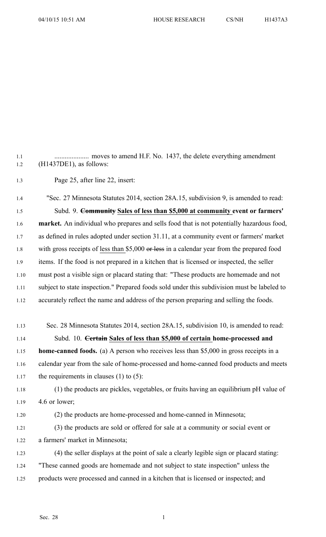1.2 (H1437DE1), as follows: 1.3 Page 25, after line 22, insert: 1.4 "Sec. 27 Minnesota Statutes 2014, section 28A.15, subdivision 9, is amended to read: 1.5 Subd. 9. **Community Sales of less than \$5,000 at community event or farmers'** 1.6 **market.** An individual who prepares and sells food that is not potentially hazardous food, 1.7 as defined in rules adopted under section 31.11, at <sup>a</sup> community event or farmers' market 1.8 with gross receipts of less than \$5,000 or less in a calendar year from the prepared food 1.9 items. If the food is not prepared in a kitchen that is licensed or inspected, the seller 1.10 must pos<sup>t</sup> <sup>a</sup> visible sign or placard stating that: "These products are homemade and not

1.1 .................... moves to amend H.F. No. 1437, the delete everything amendment

1.11 subject to state inspection." Prepared foods sold under this subdivision must be labeled to 1.12 accurately reflect the name and address of the person preparing and selling the foods.

- 1.13 Sec. 28 Minnesota Statutes 2014, section 28A.15, subdivision 10, is amended to read: 1.14 Subd. 10. **Certain Sales of less than \$5,000 of certain home-processed and** 1.15 **home-canned foods.** (a) A person who receives less than \$5,000 in gross receipts in <sup>a</sup> 1.16 calendar year from the sale of home-processed and home-canned food products and meets 1.17 the requirements in clauses  $(1)$  to  $(5)$ : 1.18 (1) the products are pickles, vegetables, or fruits having an equilibrium pH value of 1.19 4.6 or lower; 1.20 (2) the products are home-processed and home-canned in Minnesota; 1.21 (3) the products are sold or offered for sale at <sup>a</sup> community or social event or
- 1.22 <sup>a</sup> farmers' market in Minnesota;
- 1.23 (4) the seller displays at the point of sale <sup>a</sup> clearly legible sign or placard stating: 1.24 "These canned goods are homemade and not subject to state inspection" unless the 1.25 products were processed and canned in <sup>a</sup> kitchen that is licensed or inspected; and